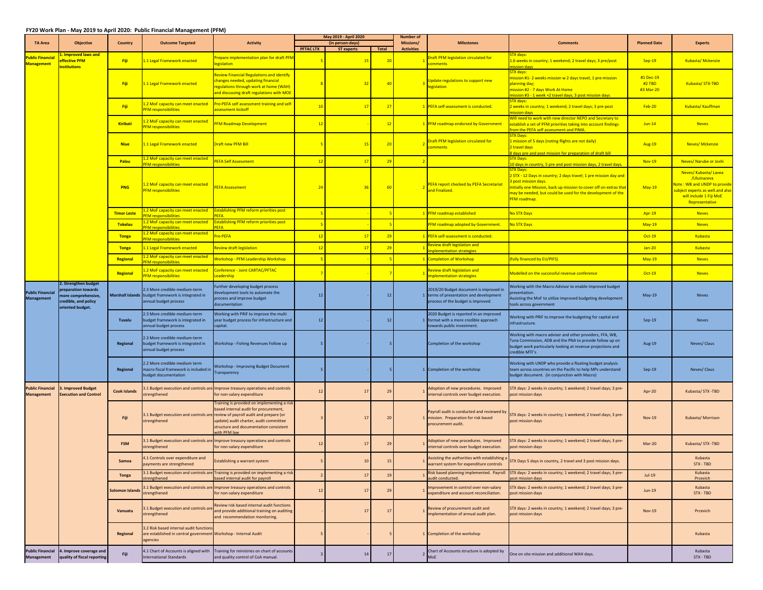## **FY20 Work Plan ‐ May 2019 to April 2020: Public Financial Management (PFM)**

|                                              | <b>Objective</b>                                                                                             | Country             | <b>Outcome Targeted</b>                                                                                              | <b>Activity</b>                                                                                                                                                                                                                   | May 2019 - April 2020 |                   | <b>Number of</b> |                                       |                                                                                                                       |                                                                                                                                                                                                                                                                    |                                  |                                                                                                                                                    |
|----------------------------------------------|--------------------------------------------------------------------------------------------------------------|---------------------|----------------------------------------------------------------------------------------------------------------------|-----------------------------------------------------------------------------------------------------------------------------------------------------------------------------------------------------------------------------------|-----------------------|-------------------|------------------|---------------------------------------|-----------------------------------------------------------------------------------------------------------------------|--------------------------------------------------------------------------------------------------------------------------------------------------------------------------------------------------------------------------------------------------------------------|----------------------------------|----------------------------------------------------------------------------------------------------------------------------------------------------|
| <b>TA Area</b>                               |                                                                                                              |                     |                                                                                                                      |                                                                                                                                                                                                                                   | <b>PFTAC LTX</b>      | (in person-days)  |                  | <b>Missions/</b><br><b>Activities</b> | <b>Milestones</b>                                                                                                     | <b>Comments</b>                                                                                                                                                                                                                                                    | <b>Planned Date</b>              | <b>Experts</b>                                                                                                                                     |
| <b>Public Financia</b><br><b>Management</b>  | . Improved laws and<br><b>ffective PFM</b><br><b>nstitutions</b>                                             | Fiji                | 1.1 Legal Framework enacted                                                                                          | repare implementation plan for draft PFM<br>egislation                                                                                                                                                                            |                       | <b>ST experts</b> | Total<br>20      |                                       | Draft PFM legislation circulated for<br>comments                                                                      | TX davs:<br>L.6 weeks in country; 1 weekend; 2 travel days; 3 pre/post<br>ission davs                                                                                                                                                                              | $Sep-19$                         | Kubasta/Mckenzie                                                                                                                                   |
|                                              |                                                                                                              | Fiji                | 1.1 Legal Framework enacted                                                                                          | <b>Leview Financial Regulations and identify</b><br>hanges needed, updating financial<br>egulations through work at home (WAH)<br>and discussing draft regulations with MOE                                                       |                       | -32               | 40               |                                       | Update regulations to support new<br>egislation                                                                       | STX days:<br>nission #1- 2 weeks mission w 2 days travel, 1 pre-mission<br><b>planning day;</b><br>nission #2 - 7 days Work At Home<br>ission #3 - 1 week +2 travel days; 3 post mission days                                                                      | #1 Dec-19<br>#2 TBD<br>#3 Mar-20 | Kubasta/STX-TBD                                                                                                                                    |
|                                              |                                                                                                              | Fiji                | 1.2 MoF capacity can meet enacted<br><b>PFM responsibilities</b>                                                     | Pre-PEFA self assessment training and self-<br>assessment kickoff                                                                                                                                                                 | 10                    | $-17$             | 27               |                                       | PEFA self-assessment is conducted.                                                                                    | <b>TX</b> davs:<br>weeks in country; 1 weekend; 2 travel days; 3 pre-post<br><b>ission days</b>                                                                                                                                                                    | $Feb-20$                         | Kubasta/ Kauffman                                                                                                                                  |
|                                              |                                                                                                              | Kiribati            | 2 MoF capacity can meet enacted<br><b>PFM</b> responsibilities                                                       | <b>FM Roadmap Development</b>                                                                                                                                                                                                     | 12                    |                   | 12               |                                       | PFM roadmap endorsed by Government                                                                                    | Vill need to work with new director NEPO and Secretary to<br>stablish a set of PFM priorities taking into account findings<br>om the PEFA self assessment and PIMA.                                                                                                | $Jun-14$                         | <b>Neves</b>                                                                                                                                       |
|                                              |                                                                                                              | <b>Niue</b>         | 1.1 Legal Framework enacted                                                                                          | Draft new PFM Bill                                                                                                                                                                                                                |                       | 15                | 20               |                                       | Draft PFM legislation circulated for<br>comments                                                                      | <b>TX Days:</b><br>mission of 5 days (noting flights are not daily)<br>2 travel days<br>days pre and post mission for preparation of draft bill                                                                                                                    | Aug-19                           | <b>Neves/ Mckenzie</b>                                                                                                                             |
|                                              |                                                                                                              | Palau               | 2 MoF capacity can meet enacted<br><b>FM responsibilities</b>                                                        | <b>PEFA Self Assessment</b>                                                                                                                                                                                                       | 12                    | 17                | 29               |                                       |                                                                                                                       | <b>TX Days:</b><br>0 days in country, 5 pre and post mission days, 2 travel days                                                                                                                                                                                   | Nov-19                           | Neves/ Narube or Joshi                                                                                                                             |
|                                              |                                                                                                              | PNG                 | 1.2 MoF capacity can meet enacted<br><b>PFM</b> responsibilities                                                     | <b>PEFA Assessment</b>                                                                                                                                                                                                            | 24                    |                   | 60               |                                       | PEFA report checked by PEFA Secretariat<br>nd Finalized.                                                              | <b>TX Days:</b><br>STX - 12 Days in country; 2 days travel; 1 pre mission day and<br>post mission days.<br>nitially one Mission, back up mission to cover off on extras that<br>nay be needed, but could be used for the development of the<br><b>PFM</b> roadmap. | <b>May-19</b>                    | Neves/Kubasta/Lavea<br>/Uluinaceva<br>Vote: WB and UNDP to provide<br>ubject experts as well and also<br>will include 1 Fiji MoE<br>Representative |
|                                              |                                                                                                              | <b>Timor Leste</b>  | .2 MoF capacity can meet enacted<br><b>FM responsibilities</b>                                                       | stablishing PFM reform priorities post<br><b>FFA</b>                                                                                                                                                                              |                       |                   |                  |                                       | <b>PFM roadmap established</b>                                                                                        | lo STX Days                                                                                                                                                                                                                                                        | <b>Apr-19</b>                    | <b>Neves</b>                                                                                                                                       |
|                                              |                                                                                                              | <b>Tokelau</b>      | .2 MoF capacity can meet enacted                                                                                     | stablishing PFM reform priorities post                                                                                                                                                                                            |                       |                   |                  |                                       | PFM roadmap adopted by Government.                                                                                    | lo STX Days                                                                                                                                                                                                                                                        | $May-19$                         | <b>Neves</b>                                                                                                                                       |
|                                              |                                                                                                              | Tonga               | <b>FM responsibilities</b><br>.2 MoF capacity can meet enacted                                                       | <b>FFA</b><br>re-PEFA                                                                                                                                                                                                             | 12                    | 17                | 29               |                                       | PEFA self-assessment is conducted.                                                                                    |                                                                                                                                                                                                                                                                    | Oct-19                           | Kubasta                                                                                                                                            |
|                                              |                                                                                                              |                     | <b>PFM</b> responsibilities                                                                                          | eview draft legislation                                                                                                                                                                                                           |                       |                   |                  |                                       | Review draft legislation and                                                                                          |                                                                                                                                                                                                                                                                    |                                  |                                                                                                                                                    |
|                                              |                                                                                                              | Tonga               | 1.1 Legal Framework enacted<br>2 MoF capacity can meet enacted                                                       |                                                                                                                                                                                                                                   | 12                    | 17                | 29               |                                       | nplementation strategies                                                                                              |                                                                                                                                                                                                                                                                    | <b>Jan-20</b>                    | Kubasta                                                                                                                                            |
|                                              |                                                                                                              | Regional            | <b>FM</b> responsibilities                                                                                           | <b>Norkshop - PFM Leadership Workshop</b>                                                                                                                                                                                         |                       |                   |                  |                                       | <b>Completion of Workshop</b>                                                                                         | fully financed by EU/PIFS)                                                                                                                                                                                                                                         | $May-19$                         | <b>Neves</b>                                                                                                                                       |
|                                              |                                                                                                              | Regional            | .2 MoF capacity can meet enacted<br><b>FM</b> responsibilities                                                       | <b>Onference - Joint CARTAC/PFTAC</b><br>eadership                                                                                                                                                                                |                       |                   |                  |                                       | Review draft legislation and<br>mplementation strategies                                                              | Aodelled on the successful revenue conference                                                                                                                                                                                                                      | Oct-19                           | <b>Neves</b>                                                                                                                                       |
| <b>Public Financial</b><br><b>Management</b> | 2. Strengthen budget<br>reparation towards<br>nore comprehensive,<br>redible, and policy<br>oriented budget. |                     | 2.3 More credible medium-term<br>Marshall Islands budget framework is integrated in<br>innual budget process         | urther developing budget process<br>evelopment tools to automate the<br>rocess and improve budget<br>ocumentation                                                                                                                 | 12                    |                   | $12\,$           |                                       | 2019/20 Budget document is improved in<br>terms of presentation and development<br>process of the budget is improved. | Vorking with the Macro Advisor to enable improved budget<br>esentation.<br>ssisting the MoF to utilize improved budgeting development<br>ools across government                                                                                                    | $May-19$                         | Neves                                                                                                                                              |
|                                              |                                                                                                              | Tuvalu              | 2.3 More credible medium-term<br>budget framework is integrated in<br>nnual budget process                           | Working with PRIF to improve the multi<br>ear budget process for infrastructure and<br>apital.                                                                                                                                    | 12                    |                   | 12               |                                       | 2020 Budget is reported in an improved<br>1 format with a more credible approach<br>owards public investment.         | Vorking with PRIF to improve the budgeting for capital and<br>nfrastructure.                                                                                                                                                                                       | $Sep-19$                         | Neves                                                                                                                                              |
|                                              |                                                                                                              | Regional            | 2.3 More credible medium-term<br>budget framework is integrated in<br>innual budget process                          | Workshop - Fishing Revenues Follow up                                                                                                                                                                                             | 5                     |                   |                  |                                       | Completion of the workshop                                                                                            | Working with macro adviser and other providers, FFA, WB,<br>Tuna Commission, ADB and the PNA to provide follow up on<br>budget work particularly looking at revenue projections and<br>credible MTF's                                                              | Aug-19                           | Neves/Claus                                                                                                                                        |
|                                              |                                                                                                              | Regional            | 2.2 More credible medium term<br>macro fiscal framework is included in<br>oudget documentation                       | Workshop - Improving Budget Document<br><b>Fransparency</b>                                                                                                                                                                       |                       |                   |                  |                                       | 1 Completion of the workshop                                                                                          | Working with UNDP who provide a floating budget analysis<br>team across countries on the Pacific to help MPs understand<br>udget document. (in conjunction with Macro)                                                                                             | $Sep-19$                         | Neves/Claus                                                                                                                                        |
| <b>Public Financial</b><br><b>Management</b> | . Improved Budget<br><b>Execution and Control</b>                                                            | <b>Cook Islands</b> | trengthened                                                                                                          | 1.1 Budget execution and controls are Improve treasury operations and controls<br>for non-salary expenditure                                                                                                                      | 12                    | 17                | 29               |                                       | Adoption of new procedures. Improved<br>internal controls over budget execution.                                      | TX days: 2 weeks in country; 1 weekend; 2 travel days; 3 pre-<br>ost mission days                                                                                                                                                                                  | Apr-20                           | Kubasta/STX-TBD                                                                                                                                    |
|                                              |                                                                                                              | Fiji                | 1.1 Budget execution and controls are<br>strengthened                                                                | raining is provided on implementing a risk<br>based internal audit for procurement,<br>review of payroll audit and prepare (or<br>update) audit charter, audit committee<br>structure and documentation consistent<br>ith PFM law |                       | 17                | 20               |                                       | Payroll audit is conducted and reviewed by<br>1 mission. Preparation for risk based<br>procurement audit.             | STX days: 2 weeks in country; 1 weekend; 2 travel days; 3 pre-<br>bost mission days                                                                                                                                                                                | <b>Nov-19</b>                    | Kubasta/Morrison                                                                                                                                   |
|                                              |                                                                                                              | <b>FSM</b>          | trengthened                                                                                                          | 1.1 Budget execution and controls are Improve treasury operations and controls<br>or non-salary expenditure                                                                                                                       | 12                    | 17                | 29               |                                       | Adoption of new procedures. Improved<br>internal controls over budget execution.                                      | TX days: 2 weeks in country; 1 weekend; 2 travel days; 3 pre-<br>bost mission days                                                                                                                                                                                 | Mar-20                           | Kubasta/ STX -TBD                                                                                                                                  |
|                                              |                                                                                                              | Samoa               | 4.1 Controls over expenditure and<br>payments are strengthened                                                       | <b>Establishing a warrant system</b>                                                                                                                                                                                              |                       | 10 <sup>°</sup>   | 15               |                                       | Assisting the authorities with establishing a<br>warrant system for expenditure controls                              | STX Days 5 days in country, 2 travel and 3 post mission days.                                                                                                                                                                                                      |                                  | Kubasta<br>STX - TBD                                                                                                                               |
|                                              |                                                                                                              | <b>Tonga</b>        | 3.1 Budget execution and controls are<br>trengthened                                                                 | Fraining is provided on implementing a risk<br>ased internal audit for payroll                                                                                                                                                    |                       | 17                | 19               |                                       | Risk based planning implemented. Payroll<br>udit conducted.                                                           | STX days: 2 weeks in country; 1 weekend; 2 travel days; 3 pre-<br>ost mission days                                                                                                                                                                                 | $Jul-19$                         | Kubasta<br>Prcevich                                                                                                                                |
|                                              |                                                                                                              | Solomon Islands     | strengthened                                                                                                         | 1.1 Budget execution and controls are Improve treasury operations and controls<br>for non-salary expenditure                                                                                                                      | 12                    | 17                | 29               |                                       | mprovement in control over non-salary<br>expenditure and account reconciliation.                                      | STX days: 2 weeks in country; 1 weekend; 2 travel days; 3 pre-<br>post mission days                                                                                                                                                                                | Jun-19                           | Kubasta<br>STX - TBD                                                                                                                               |
|                                              |                                                                                                              | Vanuatu             | 3.1 Budget execution and controls are<br>strengthened                                                                | Review risk based internal audit functions<br>and provide additional training on auditing<br>and recommendation monitoring.                                                                                                       |                       | 17                | 17               |                                       | Review of procurement audit and<br>implementation of annual audit plan.                                               | TX days: 2 weeks in country; 1 weekend; 2 travel days; 3 pre-<br>post mission days                                                                                                                                                                                 | Nov-19                           | Prcevich                                                                                                                                           |
|                                              |                                                                                                              | Regional            | 2. Risk based internal audit function<br>are established in central government Workshop - Internal Audit<br>agencies |                                                                                                                                                                                                                                   |                       |                   |                  |                                       | 1 Completion of the workshop                                                                                          |                                                                                                                                                                                                                                                                    |                                  | Kubasta                                                                                                                                            |
| <b>Public Financial</b><br>Management        | 4. Improve coverage and<br>quality of fiscal reporting                                                       | Fiji                | 4.1 Chart of Accounts is aligned with<br>International Standards                                                     | Training for ministries on chart of accounts<br>and quality control of CoA manual.                                                                                                                                                |                       | 14                | $17\,$           |                                       | Chart of Accounts structure is adopted by<br>MoE                                                                      | One on site mission and additional WAH days.                                                                                                                                                                                                                       |                                  | Kubasta<br>STX - TBD                                                                                                                               |